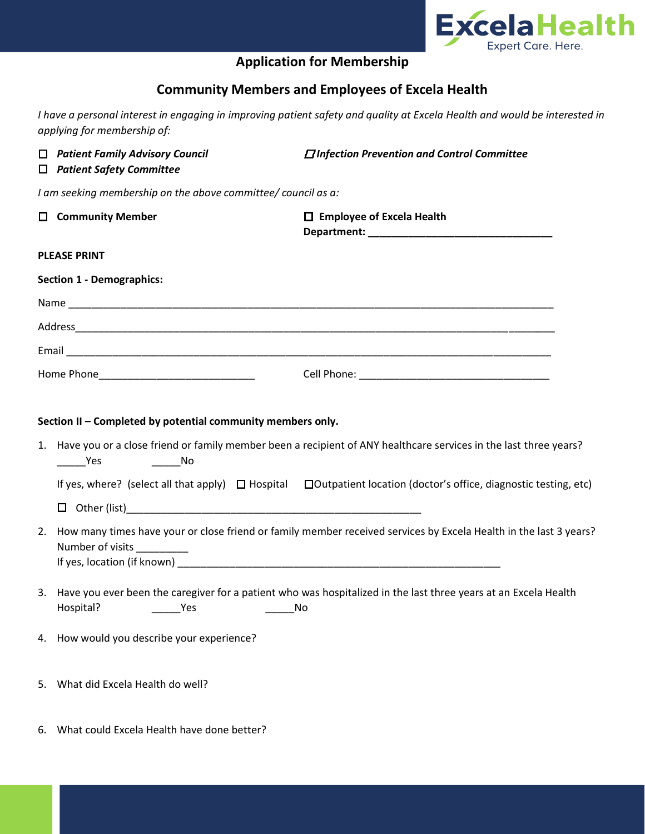

## **Application for Membership**

## **Community Members and Employees of Excela Health**

*I have a personal interest in engaging in improving patient safety and quality at Excela Health and would be interested in applying for membership of:*

| □<br>$\Box$                                                   | <b>Patient Family Advisory Council</b><br><b>Patient Safety Committee</b>                                                                                                                                                                                                                                                                                | $\Box$ Infection Prevention and Control Committee                                                                     |  |
|---------------------------------------------------------------|----------------------------------------------------------------------------------------------------------------------------------------------------------------------------------------------------------------------------------------------------------------------------------------------------------------------------------------------------------|-----------------------------------------------------------------------------------------------------------------------|--|
| I am seeking membership on the above committee/ council as a: |                                                                                                                                                                                                                                                                                                                                                          |                                                                                                                       |  |
|                                                               | $\Box$ Community Member                                                                                                                                                                                                                                                                                                                                  | $\Box$ Employee of Excela Health                                                                                      |  |
| <b>PLEASE PRINT</b>                                           |                                                                                                                                                                                                                                                                                                                                                          |                                                                                                                       |  |
| <b>Section 1 - Demographics:</b>                              |                                                                                                                                                                                                                                                                                                                                                          |                                                                                                                       |  |
|                                                               |                                                                                                                                                                                                                                                                                                                                                          |                                                                                                                       |  |
|                                                               |                                                                                                                                                                                                                                                                                                                                                          |                                                                                                                       |  |
|                                                               |                                                                                                                                                                                                                                                                                                                                                          |                                                                                                                       |  |
|                                                               |                                                                                                                                                                                                                                                                                                                                                          |                                                                                                                       |  |
|                                                               | Section II - Completed by potential community members only.<br>1. Have you or a close friend or family member been a recipient of ANY healthcare services in the last three years?<br>$\overline{\phantom{a}}$ No<br>Yes<br>If yes, where? (select all that apply) $\Box$ Hospital $\Box$ Outpatient location (doctor's office, diagnostic testing, etc) |                                                                                                                       |  |
|                                                               |                                                                                                                                                                                                                                                                                                                                                          |                                                                                                                       |  |
| 2.                                                            | How many times have your or close friend or family member received services by Excela Health in the last 3 years?<br>Number of visits __________                                                                                                                                                                                                         |                                                                                                                       |  |
| 3.                                                            | Hospital?<br><b>Press</b>                                                                                                                                                                                                                                                                                                                                | Have you ever been the caregiver for a patient who was hospitalized in the last three years at an Excela Health<br>No |  |
|                                                               | 4. How would you describe your experience?                                                                                                                                                                                                                                                                                                               |                                                                                                                       |  |
| 5.                                                            | What did Excela Health do well?                                                                                                                                                                                                                                                                                                                          |                                                                                                                       |  |

6. What could Excela Health have done better?